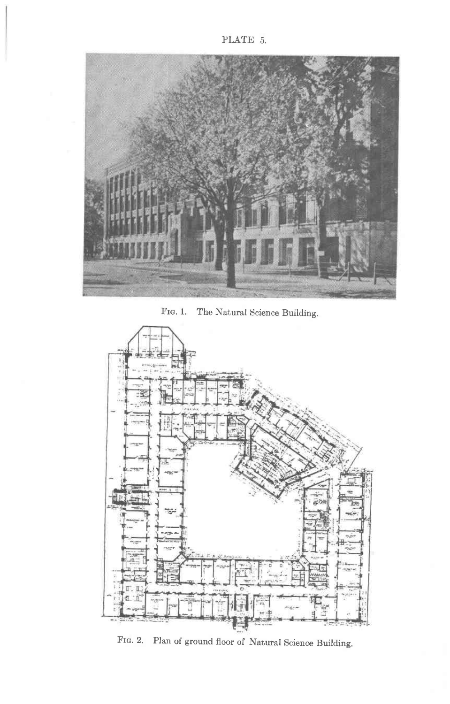

FIG. 1. The Natural Science Building.



FIG. 2. Plan of ground floor of Natural Science Building.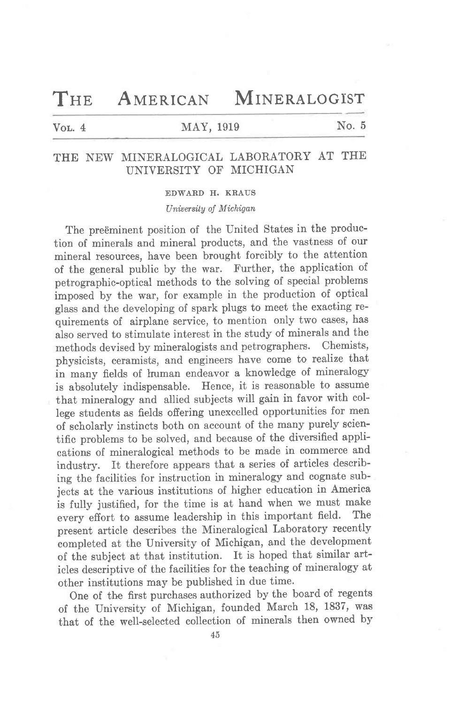THE AMERICAN MINERALOGIST

# Vol. 4 MAY, 1919 No. 5

# THE NEW MINERALOGICAL LABORATORY AT THE UNIVERSITY OF MICHIGAN

EDWARD H. KRAUS

## University of Michigan

The preëminent position of the United States in the production of minerals and mineral products, and the vastness of our mineral resources, have been brought forcibly to the attention of the general public by the war. Further, the application of petrographic-optical methods to the solving of special problems imposed by the war, for example in the production of optical glass and the developing of spark plugs to meet the exacting requirements of airplane service, to mention only two cases, has also served to stimulate interest in the study of minerals and the methods devised by mineralogists and petrographers. Chemists, physicists, ceramists, and engineers have come to realize that in many fields of human endeavor a knowledge of mineralogy is absolutely indispensable. Hence, it is reasonable to assume that mineralogy and allied subjects will gain in favor with college students as fields offering unexcelled opportunities for men of scholarly instincts both on account of the many purely scientific problems to be solved, and because of the diversified applications of mineralogical methods to be made in commerce and industry. It therefore appears that a series of articles describing the facilities for instruction in mineralogy and cognate subjects at the various institutions of higher education in America is fully justified, for the time is at hand when we must make<br>example of the assume leadership in this important field. The every effort to assume leadership in this important field. present article describes the Mineralogical Laboratory recently completed at the University of Michigan, and the development of the subject at that institution. It is hoped that similar articles descriptive of the facilities for the teaching of mineralogy at other institutions may be published in due time.

One of the first purchases authorized by the board of regents of the University of Michigan, founded March 18, 1837, was that of the well-selected collection of minerals then owned by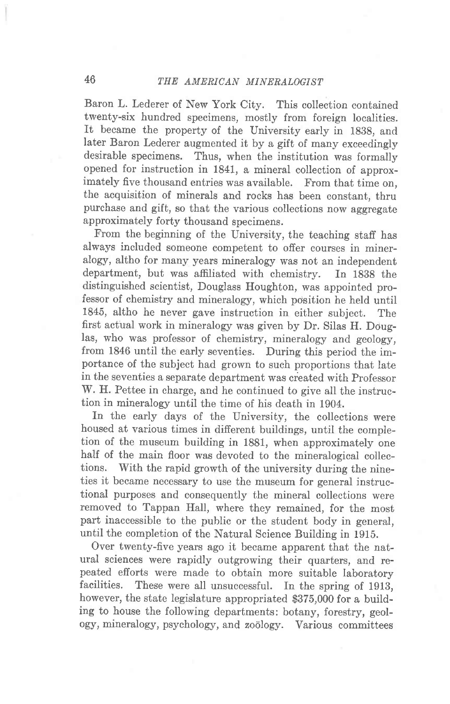Baron L. Lederer of New York City. This collection contained twenty-six hundred specimens, mostly from foreign localities. It became the property of the University early in 1838, and later Baron Lederer augmented it by a gift of many exceedingly desirable specimens. Thus, when the institution was formally opened for instruction in 1841, a mineral collection of approximately five thousand entries was available. From that time on, the acquisition of minerals and rocks has been constant, thru purchase and gift, so that the various collections now aggregate approximately forty thousand specimens.

From the beginning of the University, the teaching staff has always included someone competent to offer courses in mineralogy, altho for many years mineralogy was not an independent department, but was affiliated with chemistry. In 1838 the distinguished scientist, Douglass Houghton, was appointed professor of chemistry and mineralogy, which position he held until 1845, altho he never gave instruction in either subject. The first actual work in mineralogy was given by Dr. Silas H. Douglas, who was professor of chemistry, mineralogy and geology, from 1846 until the early seventies. During this period the importance of the subject had grown to such proportions that late in the seventies a separate department was created with Professor W. H. Pettee in charge, and he continued to give all the instruction in mineralogy until the time of his death in 1904.

In the early days of the University, the collections were housed at various times in different buildings, until the completion of the museum building in 1881, when approximately one half of the main floor was devoted to the mineralogical collections. With the rapid growth of the university during the nineties it became necessary to use the museum for general instructional purposes and consequently the mineral collections were removed to Tappan Hall, where they remained, for the most part inaccessible to the public or the student body in general, until the completion of the Natural Science Building in 1915.

Over twenty-five years ago it became apparent that the natural sciences were rapidly outgrowing their quarters, and repeated efforts were made to obtain more suitable laboratory facilities. These were all unsuccessful. In the spring of 1913, however, the state legislature appropriated \$375,000 for a building to house the following departments: botany, forestry, geology, mineralogy, psychology, and zodlogy. Various eommittees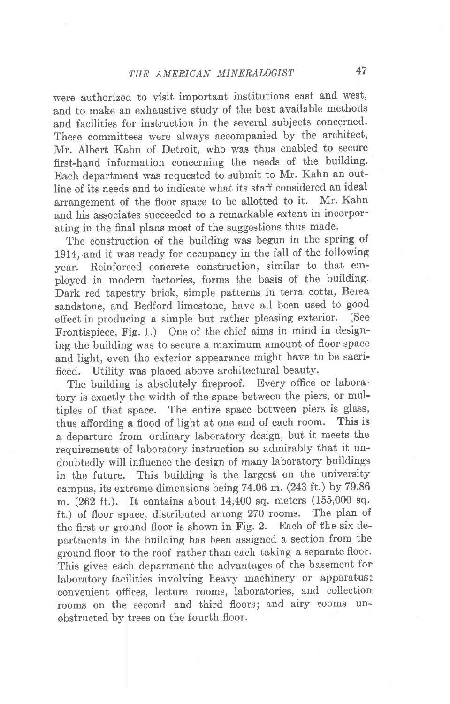were authorized to visit important institutions east and west, and to make an exhaustive study of the best available methods and facilities for instruction in the several subjects concerned. These committees were always accompanied by the architect, Mr. Albert Kahn of Detroit, who was thus enabled to secure first-hand information concerning the needs of the building. Each department was requested to submit to Mr. Kahn an outline of its needs and to indicate what its staff considered an ideal<br>expansion of the floor space to be allotted to it. Mr. Kahn arrangement of the floor space to be allotted to it. and his associates succeeded to a remarkable extent in incorporating in the final plans most of the suggestions thus made.

The construction of the building was begun in the spring of 1914, and it was ready for occupancy in the fall of the following year. Reinforced concrete construction, similar to that employed in modern factories, forms the basis of the building. Dark red tapestry brick, simple patterns in terra cotta, Berea sandstone, and Bedford limestone, have all been used to good effect in producing a simple but rather pleasing exterior. (See Frontispiece, Fig. 1.) One of the chief aims in mind in designing the building was to secure a maximum amount of floor space and light, even tho exterior appearance might have to be sacrificed. Utility was placed above architectural beauty.

The building is absolutely fireproof. Every office or laboratory is exactly the width of the space between the piers, or multiples of that space. The entire space between piers is glass, thus affording a flood of light at one end of each room. This is a departure from ordinary laboratory design, but it meets the requirements of laboratory instruction so admirably that it undoubtedly will influence the design of many laboratory buildings in the future. This building is the largest on the university campus, its extreme dimensions being 74.06 m. (243 ft.) by 79.86 m. (262 ft.). It contains about 14,400 sq. meters (155,000 sq. ft.) of floor space, distributed among 270 rooms. The plan of the first or ground floor is shown in Fig. 2. Each of the six departments in the building has been assigned a section from the ground floor to the roof rather than each taking a separate floor. This gives each department the advantages of the basement for laboratory facilities involving heavy machinery or apparatus; convenient offices, lecture rooms, laboratories, and collection rooms on the second and third floors; and airy rooms unobstructed by trees on the fourth floor.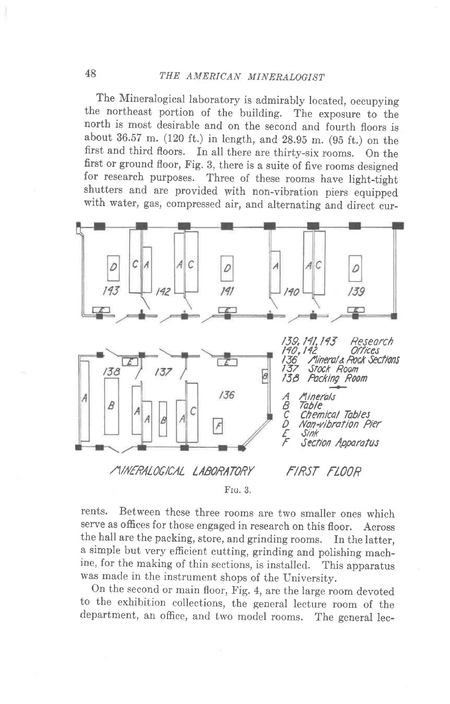The Mineralogical laboratory is admirably located, occupying the northeast portion of the building. The exposure to the north is most desirable and on the second and fourth floors is about 36.57 m. (120 ft.) in length, and 28.95 m. (95 ft.) on the first and third floors. In all there are thirty-six rooms. On the first or ground floor, Fig. 3, there is a suite of five rooms designed for research purposes. Three of these rooms have light-tight shutters and are provided with non-vibration piers equipped with water, gas, compressed air, and alternating and direct cur-



FIG. 3.

rents. Between these three rooms are two smaller ones which serve as offices for those engaged in research on this floor. Across the hall are the packing, store, and grinding rooms. In the latter, a simple but very efficient cutting, grinding and polishing machine, for the making of thin sections, is installed. This apparatus was made in the instrument shops of the University.

On the second or main floor, Fig. 4, are the large room devoted to the exhibition collections, the general lecture room of the department, an office, and two model rooms. The general lec-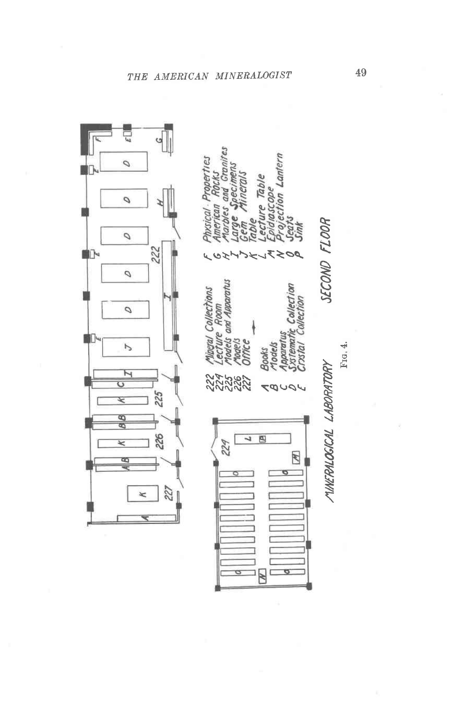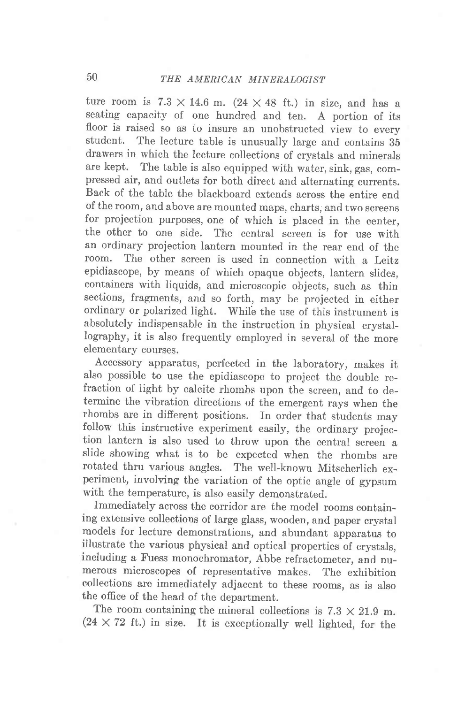ture room is  $7.3 \times 14.6$  m.  $(24 \times 48$  ft.) in size, and has a seating capacity of one hundred and ten. A portion of its floor is raised so as to insure an unobstructed view to every<br>student. The lecture table is unusually large and contains 25 The lecture table is unusually large and contains 35 drawers in which the lecture collections of crystals and minerals are kept. The table is also equipped with water, sink, gas, compressed air, and outlets for both direct and alternating currents. Back of the table the blackboard extends across the entire end of the room, and above are mounted maps, charts; and two screens for projection purposes, one of which is placed in the center, the other to one side. The central screen is for use with an ordinary projection lantern mounted in the rear end of the room. The other screen is used in connection with a Leitz The other screen is used in connection with a Leitz epidiascope, by means of which opaque objects, lantern slides, containers with liquids, and microscopic objects, such as thin sections, fragments, and so forth, may be projected in either ordinary or polarized light. While the use of this instrument is absolutely indispensable in the instruction in physical crystallography, it is also frequently employed in several of the more elementary courses.

Accessory apparatus, perfected in the laboratory, makes it also possible to use the epidiascope to project the double refraction of light by calcite rhombs upon the screen, and to determine the vibration directions of the emergent rays when the rhombs are in different positions. In order that students may follow this instructive experiment easily, the ordinary projection lantern is also used to throw upon the central screen a slide showing what is to be expected when the rhombs are rotated thru various angles. The well-known Mitscherlich experiment, involving the variation of the optic angle of gypsum with the temperature, is also easily demonstrated.

Immediately across the corridor are the model rooms containing extensive collectious of large glass, wooden, and paper crystal models for lecture demonstrations, and abundant apparatus to illustrate the various physical and optical properties of crystals, including a Fuess monochromator, Abbe refractometer, and numerous microscopes of representative makes. The exhibition collections are immediately adjacent to these rooms, as is also the office of the head of the department.

The room containing the mineral collections is  $7.3 \times 21.9$  m.  $(24 \times 72$  ft.) in size. It is exceptionally well lighted, for the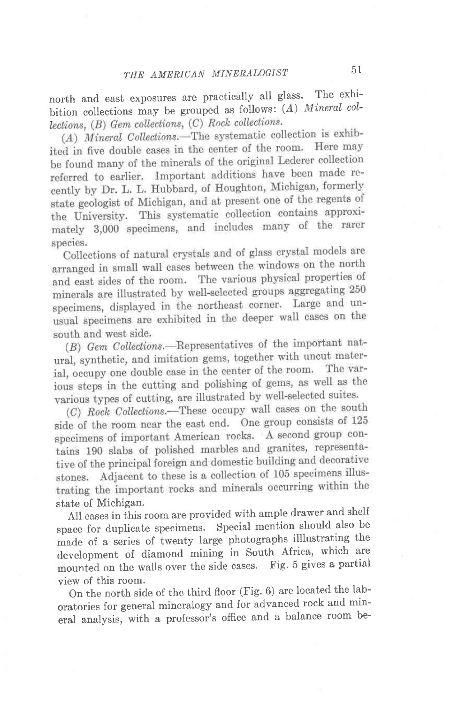north and east exposures are practically all glass. The exhibition collections may be grouped as follows:  $(A)$  Mineral collections,  $(B)$  Gem collections,  $(C)$  Rock collections.

 $(A)$  Mineral Collections.—The systematic collection is exhibited in five double cases in the center of the room. Here may be found many of the minerals of the original Lederer collection referred to earlier. Important additions have been made recently by Dr. L. L. Hubbard, of Houghton, Michigan, formerly state geologist of Michigan, and at present one of the regents of the University. This systematic collection contains approximately 3,000 specimens, and includes many of the rarer species.

Collections of natural crystals and of glass crystal models are arranged in small wall cases between the windows on the north and east sides of the room. The various physical properties of minerals are illustrated by well-selected groups aggregating 250 specimens, displayed in the northeast corner. Large and unusual specimens are exhibited in the deeper wall cases on the south and west side.

(B) Gem Collections.—Representatives of the important natural, synthetic, and imitation gems, together with uncut material, occupy one double case in the center of the room. The varjous steps in the cutting and polishing of gems, as well as the various types of cutting, are illustrated by well-selected suites.

(C) Rock Collections.—These occupy wall cases on the south side of the room near the east end. One group consists of 125 specimens of important American rocks. A second group contains 190 slabs of polished marbles and granites, representative of the principal foreign and domestic building and decorative stones. Adjacent to these is a collection of 105 specimens illustrating the important rocks and minerals occurring within the state of Michigan.

All cases in this room are provided with ample drawer and shelf space for duplicate specimens' Special mention should also be made of a series of iwenty large photographs illlustrating the development of diamond mining in South Africa, which are mounted on the walls over the side cases. Fig. 5 gives a partial view of this room.

on the north side of the third floor (Fig. 6) are located the laboratories for general mineralogy and for advanced rock and mineral analysis, with a professor's office and a balancc room be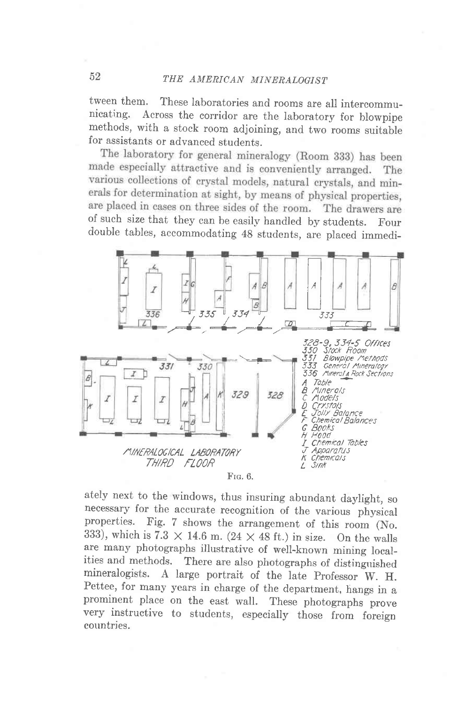tween them. These laboratories and rooms are all intercommunicating. Across the corridor are the laboratory for blowning Across the corridor are the laboratory for blowpipe methods, with a stock room adjoining, and two rooms suitable for assistants or advanced students.<br>The laboratory for general mineralogy (Room 333) has been

made especially attractive and is conveniently arranged. The various collections of crystal models, natural crystals, and minerals for determination at sight, by means of physical properties, are placed in cases on three sides of the room. The drawers are<br>of such size that they can be easily handled by students. Four double tables, accommodating 48 students, are placed immedi\_



ately next to the windows, thus insuring abundant daylight, so necessary for the accurate recognition of the various physical properties. Fig. 7 shows the arrangement of this room (No. 333), which is 7.3  $\times$  14.6 m. (24  $\times$  48 ft.) in size. On the walls are many photographs illustrative of well-known mining local-<br>ities and methods. There are also photographs of distinguished ities and methods. There are also photographs of distinguished<br>mineralogists. A large portrait of the late Professor W H A large portrait of the late Professor W. H. Pettee, for many years in charge of the department, hangs in a prominent place on the east wall. These photographs prove very instructive to students, especially those from foreign countries.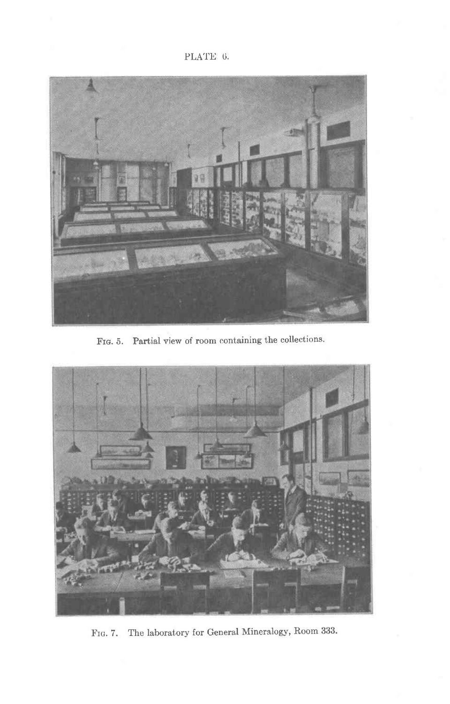PLATE 6.



FIG. 5. Partial view of room containing the collections.



FIG. 7. The laboratory for General Mineralogy, Room 333.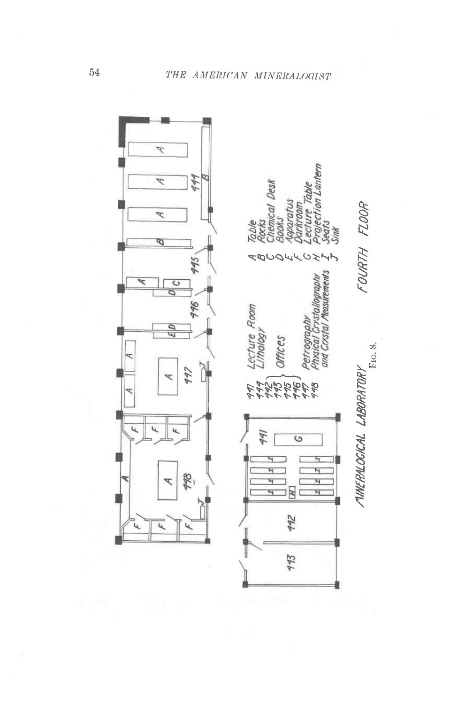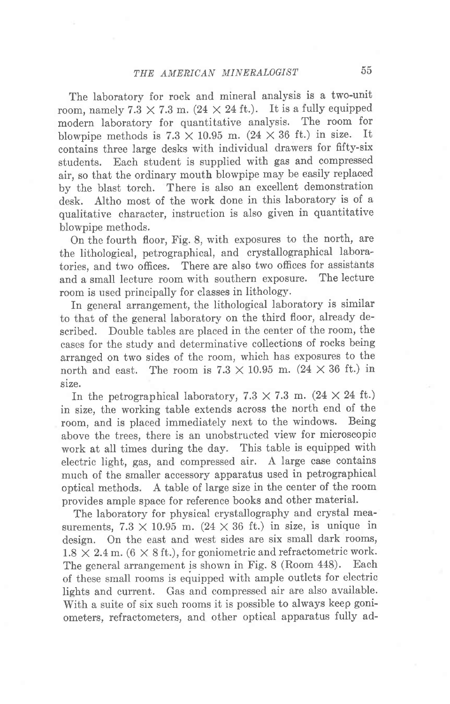The laboratory for rock and mineral analysis is a two-unit room, namely  $7.3 \times 7.3$  m.  $(24 \times 24$  ft.). It is a fully equipped modern laboratory for quantitative analysis. The room for<br>blowning methods is  $7.3 \times 10.95$  m  $(24 \times 36$  ft.) in size. It blowpipe methods is  $7.3 \times 10.95$  m.  $(24 \times 36$  ft.) in size. contains three large desks with individual drawers for fifty-six students. Each student is supplied with gas and compressed air, so that the ordinary mouth blowpipe may be easily replaced by the blast torch. There is also an excellent demonstration desk. Altho most of the work done in this laboratory is of a qualitative character, instruction is also given in quantitative blowpipe methods.

On the fourth floor, Fig. 8, with exposures to the north, are the lithological, petrographical, and crystallographical laboratories, and two offices. There are also two offices for assistants<br>and a small lecture room with southern exposure. The lecture and a small lecture room with southern exposure. room is used principally for classes in lithology.

In general arrangement, the lithological laboratory is similar to that of the general laboratory on the third floor, already described. Double tables are placed in the center of the room, the cases for the study and determinative collections of rocks being arranged on two sides of the room, which has exposures to the north and east. The room is  $7.3 \times 10.95$  m.  $(24 \times 36$  ft.) in size.

In the petrographical laboratory,  $7.3 \times 7.3$  m. ( $24 \times 24$  ft.) in size, the working table extends across the north end of the room, and is placed immediately next to the windows. Being above the trees, there is an unobstructed view for microscopic work at all times during the day. This table is equipped with electric light, gas, and compressed air. A large case contains much of the smaller accessory apparatus used in petrographical optical methods. A table of large size in the center of the room provides ample space for reference books and other material.

The laboratory for physical crystallography and crystal measurements,  $7.3 \times 10.95$  m.  $(24 \times 36)$  ft.) in size, is unique in design. On the east and west sides are six small dark rooms,  $1.8 \times 2.4$  m. (6  $\times$  8 ft.), for goniometric and refractometric work. The general arrangement is shown in Fig. 8 (Room 448). Each of these small rooms is equipped with ample outlets for electric lights and current. Gas and compressed air are also available. With a suite of six such rooms it is possible to always keep goniometers, refractometers, and other optical apparatus fully ad-